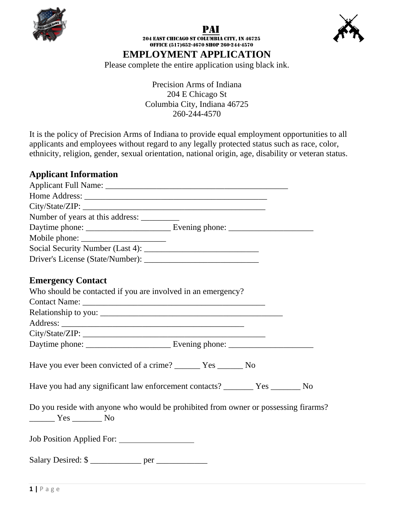





204 East Chicago st Columbia city, in 46725 Office (517)652-4670 shop 260-244-4570 **EMPLOYMENT APPLICATION**

Please complete the entire application using black ink.

Precision Arms of Indiana 204 E Chicago St Columbia City, Indiana 46725 260-244-4570

It is the policy of Precision Arms of Indiana to provide equal employment opportunities to all applicants and employees without regard to any legally protected status such as race, color, ethnicity, religion, gender, sexual orientation, national origin, age, disability or veteran status.

## **Applicant Information**

| Number of years at this address: __________                                                                                                                                 |
|-----------------------------------------------------------------------------------------------------------------------------------------------------------------------------|
|                                                                                                                                                                             |
|                                                                                                                                                                             |
|                                                                                                                                                                             |
|                                                                                                                                                                             |
| <b>Emergency Contact</b>                                                                                                                                                    |
| Who should be contacted if you are involved in an emergency?                                                                                                                |
|                                                                                                                                                                             |
|                                                                                                                                                                             |
|                                                                                                                                                                             |
|                                                                                                                                                                             |
|                                                                                                                                                                             |
| Have you ever been convicted of a crime? _________ Yes ________ No                                                                                                          |
|                                                                                                                                                                             |
| Do you reside with anyone who would be prohibited from owner or possessing firarms?<br>$\frac{1}{\sqrt{1-\frac{1}{2}}}\text{Yes } \frac{1}{\sqrt{1-\frac{1}{2}}}\text{No }$ |
| Job Position Applied For:                                                                                                                                                   |
|                                                                                                                                                                             |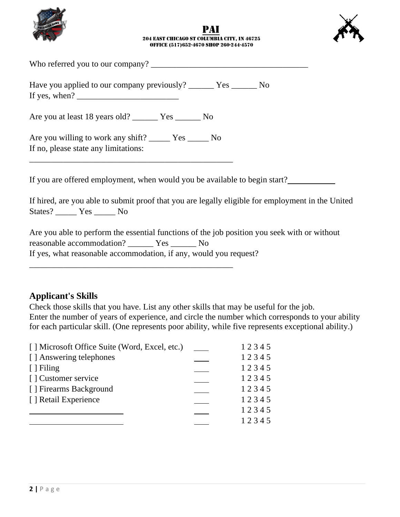





| Who referred you to our company? |  |  |  |
|----------------------------------|--|--|--|
|                                  |  |  |  |

Have you applied to our company previously? \_\_\_\_\_\_ Yes \_\_\_\_\_\_ No If yes, when?

Are you at least 18 years old? \_\_\_\_\_\_ Yes \_\_\_\_\_\_ No

Are you willing to work any shift? \_\_\_\_\_ Yes \_\_\_\_\_ No If no, please state any limitations:

\_\_\_\_\_\_\_\_\_\_\_\_\_\_\_\_\_\_\_\_\_\_\_\_\_\_\_\_\_\_\_\_\_\_\_\_\_\_\_\_\_\_\_\_\_\_\_\_

\_\_\_\_\_\_\_\_\_\_\_\_\_\_\_\_\_\_\_\_\_\_\_\_\_\_\_\_\_\_\_\_\_\_\_\_\_\_\_\_\_\_\_\_\_\_\_\_

If you are offered employment, when would you be available to begin start?

If hired, are you able to submit proof that you are legally eligible for employment in the United States? \_\_\_\_\_ Yes \_\_\_\_\_ No

Are you able to perform the essential functions of the job position you seek with or without reasonable accommodation? \_\_\_\_\_\_ Yes \_\_\_\_\_\_ No If yes, what reasonable accommodation, if any, would you request?

### **Applicant's Skills**

Check those skills that you have. List any other skills that may be useful for the job. Enter the number of years of experience, and circle the number which corresponds to your ability for each particular skill. (One represents poor ability, while five represents exceptional ability.)

| [] Microsoft Office Suite (Word, Excel, etc.) | 12345 |
|-----------------------------------------------|-------|
| [] Answering telephones                       | 12345 |
| $[ ]$ Filing                                  | 12345 |
| [] Customer service                           | 12345 |
| [] Firearms Background                        | 12345 |
| [] Retail Experience                          | 12345 |
|                                               | 12345 |
|                                               | 12345 |
|                                               |       |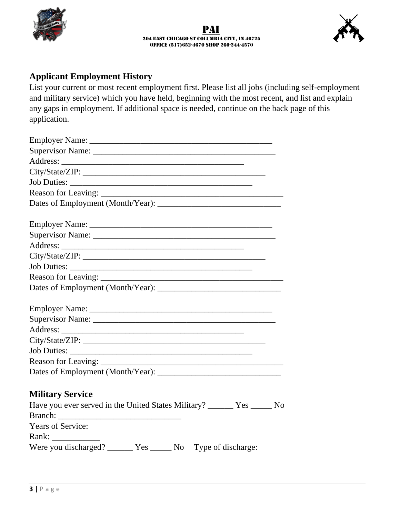



# **Applicant Employment History**

List your current or most recent employment first. Please list all jobs (including self-employment and military service) which you have held, beginning with the most recent, and list and explain any gaps in employment. If additional space is needed, continue on the back page of this application.

| <b>Military Service</b>                                                 |  |
|-------------------------------------------------------------------------|--|
| Have you ever served in the United States Military? ______ Yes _____ No |  |
|                                                                         |  |
| Years of Service: _________                                             |  |
| Rank: $\qquad \qquad$                                                   |  |
| Were you discharged? _______ Yes ______ No Type of discharge:           |  |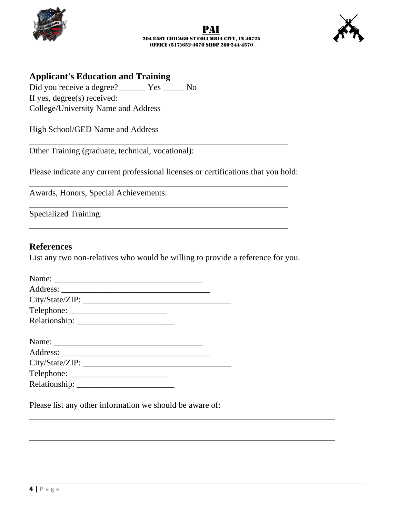





#### **Applicant's Education and Training**

Did you receive a degree? \_\_\_\_\_\_ Yes \_\_\_\_\_ No

If yes, degree(s) received:

College/University Name and Address

High School/GED Name and Address

Other Training (graduate, technical, vocational):

Please indicate any current professional licenses or certifications that you hold:

Awards, Honors, Special Achievements:

Specialized Training:

#### **References**

List any two non-relatives who would be willing to provide a reference for you.

| City/State/ZIP: |  |
|-----------------|--|
|                 |  |
|                 |  |

Please list any other information we should be aware of: